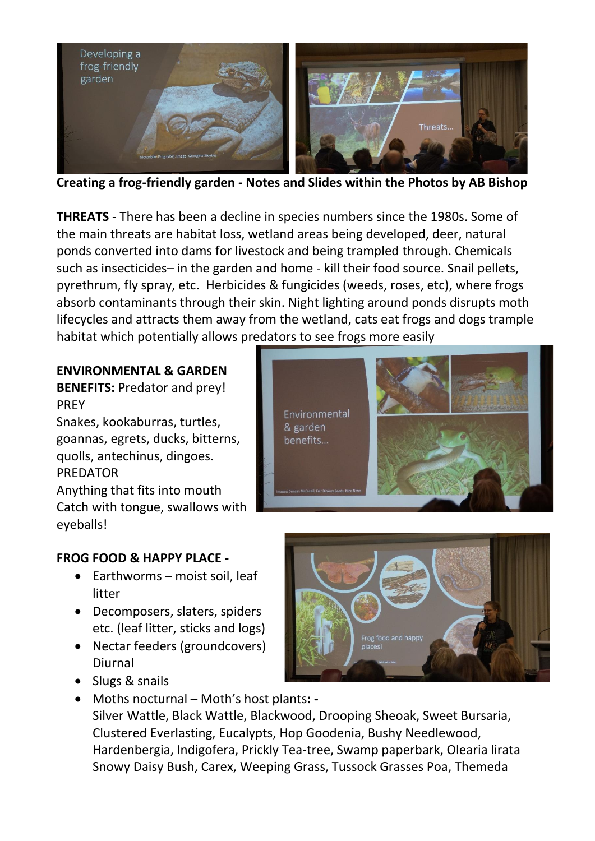

**Creating a frog-friendly garden - Notes and Slides within the Photos by AB Bishop**

**THREATS** - There has been a decline in species numbers since the 1980s. Some of the main threats are habitat loss, wetland areas being developed, deer, natural ponds converted into dams for livestock and being trampled through. Chemicals such as insecticides– in the garden and home - kill their food source. Snail pellets, pyrethrum, fly spray, etc. Herbicides & fungicides (weeds, roses, etc), where frogs absorb contaminants through their skin. Night lighting around ponds disrupts moth lifecycles and attracts them away from the wetland, cats eat frogs and dogs trample habitat which potentially allows predators to see frogs more easily

**ENVIRONMENTAL & GARDEN** 

**BENEFITS:** Predator and prey! PREY Snakes, kookaburras, turtles, goannas, egrets, ducks, bitterns, quolls, antechinus, dingoes. PREDATOR Anything that fits into mouth Catch with tongue, swallows with eyeballs!



## **FROG FOOD & HAPPY PLACE -**

- Earthworms moist soil, leaf litter
- Decomposers, slaters, spiders etc. (leaf litter, sticks and logs)
- Nectar feeders (groundcovers) Diurnal
- Slugs & snails
- Moths nocturnal Moth's host plants**: -**

Silver Wattle, Black Wattle, Blackwood, Drooping Sheoak, Sweet Bursaria, Clustered Everlasting, Eucalypts, Hop Goodenia, Bushy Needlewood, Hardenbergia, Indigofera, Prickly Tea-tree, Swamp paperbark, Olearia lirata Snowy Daisy Bush, Carex, Weeping Grass, Tussock Grasses Poa, Themeda

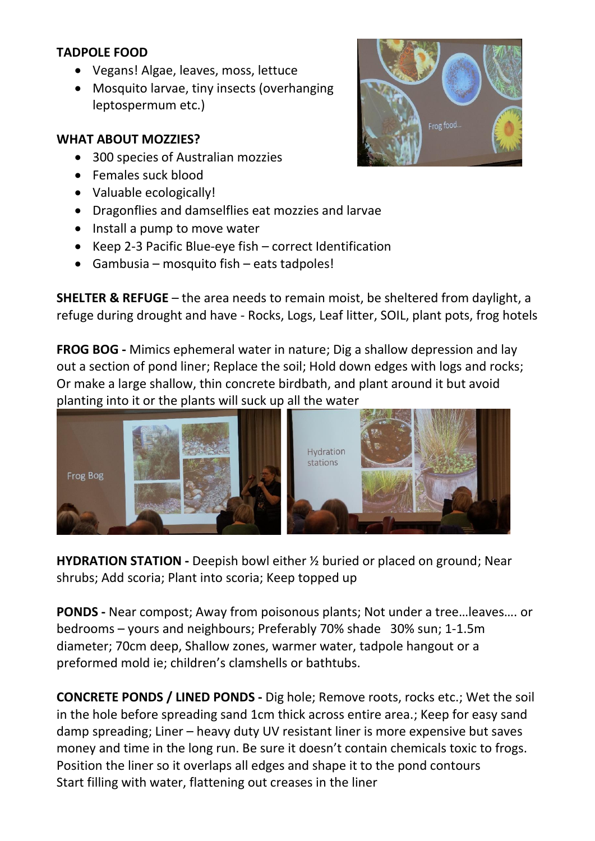## **TADPOLE FOOD**

- Vegans! Algae, leaves, moss, lettuce
- Mosquito larvae, tiny insects (overhanging leptospermum etc.)

## **WHAT ABOUT MOZZIES?**

- 300 species of Australian mozzies
- Females suck blood
- Valuable ecologically!
- Dragonflies and damselflies eat mozzies and larvae
- Install a pump to move water
- Keep 2-3 Pacific Blue-eye fish correct Identification
- Gambusia mosquito fish eats tadpoles!

**SHELTER & REFUGE** – the area needs to remain moist, be sheltered from daylight, a refuge during drought and have - Rocks, Logs, Leaf litter, SOIL, plant pots, frog hotels

**FROG BOG -** Mimics ephemeral water in nature; Dig a shallow depression and lay out a section of pond liner; Replace the soil; Hold down edges with logs and rocks; Or make a large shallow, thin concrete birdbath, and plant around it but avoid planting into it or the plants will suck up all the water



**HYDRATION STATION -** Deepish bowl either ½ buried or placed on ground; Near shrubs; Add scoria; Plant into scoria; Keep topped up

**PONDS -** Near compost; Away from poisonous plants; Not under a tree…leaves…. or bedrooms – yours and neighbours; Preferably 70% shade 30% sun; 1-1.5m diameter; 70cm deep, Shallow zones, warmer water, tadpole hangout or a preformed mold ie; children's clamshells or bathtubs.

**CONCRETE PONDS / LINED PONDS -** Dig hole; Remove roots, rocks etc.; Wet the soil in the hole before spreading sand 1cm thick across entire area.; Keep for easy sand damp spreading; Liner – heavy duty UV resistant liner is more expensive but saves money and time in the long run. Be sure it doesn't contain chemicals toxic to frogs. Position the liner so it overlaps all edges and shape it to the pond contours Start filling with water, flattening out creases in the liner